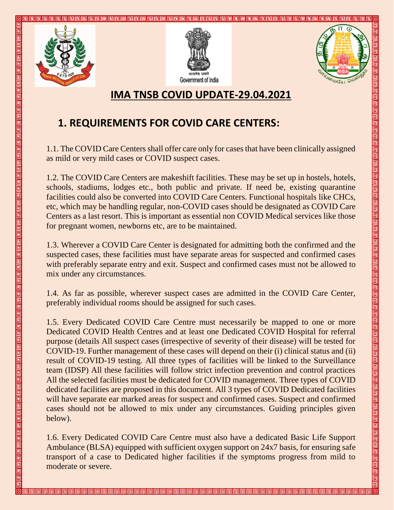





# **IMA TNSB COVID UPDATE-29.04.2021**

# **1. REQUIREMENTS FOR COVID CARE CENTERS:**

1.1. The COVID Care Centers shall offer care only for cases that have been clinically assigned as mild or very mild cases or COVID suspect cases.

1.2. The COVID Care Centers are makeshift facilities. These may be set up in hostels, hotels, schools, stadiums, lodges etc., both public and private. If need be, existing quarantine facilities could also be converted into COVID Care Centers. Functional hospitals like CHCs, etc, which may be handling regular, non-COVID cases should be designated as COVID Care Centers as a last resort. This is important as essential non COVID Medical services like those for pregnant women, newborns etc, are to be maintained.

1.3. Wherever a COVID Care Center is designated for admitting both the confirmed and the suspected cases, these facilities must have separate areas for suspected and confirmed cases with preferably separate entry and exit. Suspect and confirmed cases must not be allowed to mix under any circumstances.

1.4. As far as possible, wherever suspect cases are admitted in the COVID Care Center, preferably individual rooms should be assigned for such cases.

1.5. Every Dedicated COVID Care Centre must necessarily be mapped to one or more Dedicated COVID Health Centres and at least one Dedicated COVID Hospital for referral purpose (details All suspect cases (irrespective of severity of their disease) will be tested for COVID-19. Further management of these cases will depend on their (i) clinical status and (ii) result of COVID-19 testing. All three types of facilities will be linked to the Surveillance team (IDSP) All these facilities will follow strict infection prevention and control practices All the selected facilities must be dedicated for COVID management. Three types of COVID dedicated facilities are proposed in this document. All 3 types of COVID Dedicated facilities will have separate ear marked areas for suspect and confirmed cases. Suspect and confirmed cases should not be allowed to mix under any circumstances. Guiding principles given below).

1.6. Every Dedicated COVID Care Centre must also have a dedicated Basic Life Support Ambulance (BLSA) equipped with sufficient oxygen support on 24x7 basis, for ensuring safe transport of a case to Dedicated higher facilities if the symptoms progress from mild to moderate or severe.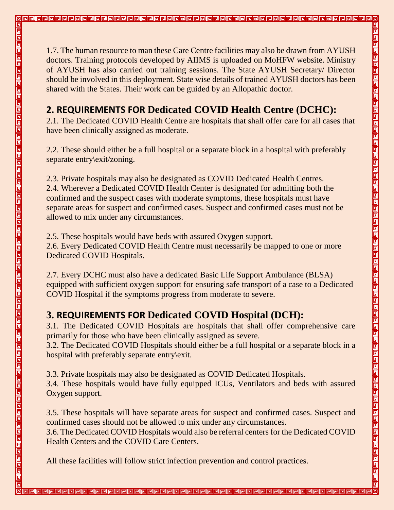1.7. The human resource to man these Care Centre facilities may also be drawn from AYUSH doctors. Training protocols developed by AIIMS is uploaded on MoHFW website. Ministry of AYUSH has also carried out training sessions. The State AYUSH Secretary/ Director should be involved in this deployment. State wise details of trained AYUSH doctors has been shared with the States. Their work can be guided by an Allopathic doctor.

# **2. REQUIREMENTS FOR Dedicated COVID Health Centre (DCHC):**

2.1. The Dedicated COVID Health Centre are hospitals that shall offer care for all cases that have been clinically assigned as moderate.

2.2. These should either be a full hospital or a separate block in a hospital with preferably separate entry\exit/zoning.

2.3. Private hospitals may also be designated as COVID Dedicated Health Centres. 2.4. Wherever a Dedicated COVID Health Center is designated for admitting both the confirmed and the suspect cases with moderate symptoms, these hospitals must have separate areas for suspect and confirmed cases. Suspect and confirmed cases must not be allowed to mix under any circumstances.

2.5. These hospitals would have beds with assured Oxygen support. 2.6. Every Dedicated COVID Health Centre must necessarily be mapped to one or more Dedicated COVID Hospitals.

2.7. Every DCHC must also have a dedicated Basic Life Support Ambulance (BLSA) equipped with sufficient oxygen support for ensuring safe transport of a case to a Dedicated COVID Hospital if the symptoms progress from moderate to severe.

# **3. REQUIREMENTS FOR Dedicated COVID Hospital (DCH):**

3.1. The Dedicated COVID Hospitals are hospitals that shall offer comprehensive care primarily for those who have been clinically assigned as severe.

3.2. The Dedicated COVID Hospitals should either be a full hospital or a separate block in a hospital with preferably separate entry\exit.

3.3. Private hospitals may also be designated as COVID Dedicated Hospitals. 3.4. These hospitals would have fully equipped ICUs, Ventilators and beds with assured Oxygen support.

3.5. These hospitals will have separate areas for suspect and confirmed cases. Suspect and confirmed cases should not be allowed to mix under any circumstances.

3.6. The Dedicated COVID Hospitals would also be referral centers for the Dedicated COVID Health Centers and the COVID Care Centers.

All these facilities will follow strict infection prevention and control practices.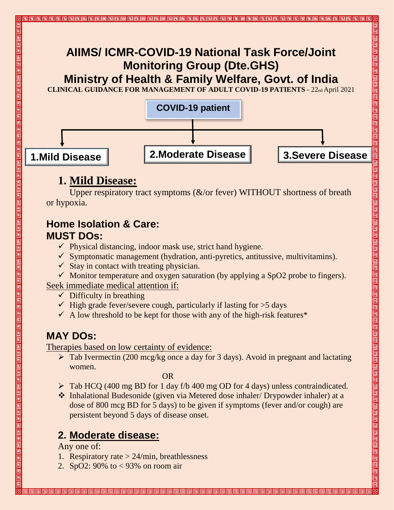

Upper respiratory tract symptoms (&/or fever) WITHOUT shortness of breath or hypoxia.

# **Home Isolation & Care: MUST DOs:**

- $\checkmark$  Physical distancing, indoor mask use, strict hand hygiene.
- $\checkmark$  Symptomatic management (hydration, anti-pyretics, antitussive, multivitamins).
- $\checkmark$  Stay in contact with treating physician.
- $\checkmark$  Monitor temperature and oxygen saturation (by applying a SpO2 probe to fingers).

Seek immediate medical attention if:

- $\checkmark$  Difficulty in breathing
- $\checkmark$  High grade fever/severe cough, particularly if lasting for  $>5$  days
- $\checkmark$  A low threshold to be kept for those with any of the high-risk features\*

# **MAY DOs:**

Therapies based on low certainty of evidence:

 $\triangleright$  Tab Ivermectin (200 mcg/kg once a day for 3 days). Avoid in pregnant and lactating women.

OR

- $\triangleright$  Tab HCQ (400 mg BD for 1 day f/b 400 mg OD for 4 days) unless contraindicated.
- Inhalational Budesonide (given via Metered dose inhaler/ Drypowder inhaler) at a dose of 800 mcg BD for 5 days) to be given if symptoms (fever and/or cough) are persistent beyond 5 days of disease onset.

# **2. Moderate disease:**

Any one of:

- 1. Respiratory rate > 24/min, breathlessness
- 2. SpO2: 90% to < 93% on room air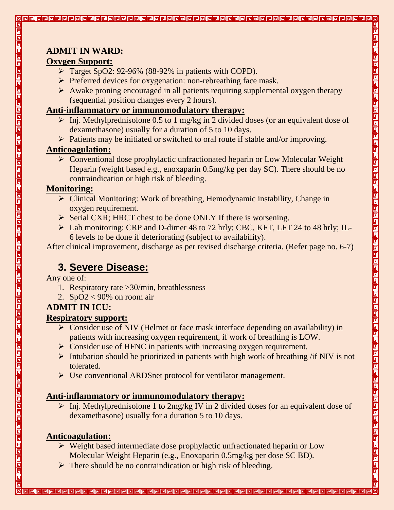#### **ADMIT IN WARD:**

#### **Oxygen Support:**

- $\triangleright$  Target SpO2: 92-96% (88-92% in patients with COPD).
- $\triangleright$  Preferred devices for oxygenation: non-rebreathing face mask.
- $\triangleright$  Awake proning encouraged in all patients requiring supplemental oxygen therapy (sequential position changes every 2 hours).

### **Anti-inflammatory or immunomodulatory therapy:**

- $\triangleright$  Inj. Methylprednisolone 0.5 to 1 mg/kg in 2 divided doses (or an equivalent dose of dexamethasone) usually for a duration of 5 to 10 days.
- $\triangleright$  Patients may be initiated or switched to oral route if stable and/or improving.

### **Anticoagulation:**

 Conventional dose prophylactic unfractionated heparin or Low Molecular Weight Heparin (weight based e.g., enoxaparin 0.5mg/kg per day SC). There should be no contraindication or high risk of bleeding.

#### **Monitoring:**

- ▶ Clinical Monitoring: Work of breathing, Hemodynamic instability, Change in oxygen requirement.
- $\triangleright$  Serial CXR; HRCT chest to be done ONLY If there is worsening.
- Lab monitoring: CRP and D-dimer 48 to 72 hrly; CBC, KFT, LFT 24 to 48 hrly; IL-6 levels to be done if deteriorating (subject to availability).

After clinical improvement, discharge as per revised discharge criteria. (Refer page no. 6-7)

# **3. Severe Disease:**

Any one of:

- 1. Respiratory rate >30/min, breathlessness
- 2.  $SpO2 < 90\%$  on room air

## **ADMIT IN ICU:**

#### **Respiratory support:**

- $\triangleright$  Consider use of NIV (Helmet or face mask interface depending on availability) in patients with increasing oxygen requirement, if work of breathing is LOW.
- Consider use of HFNC in patients with increasing oxygen requirement.
- Intubation should be prioritized in patients with high work of breathing  $\pi$  In NIV is not tolerated.
- Use conventional ARDSnet protocol for ventilator management.

### **Anti-inflammatory or immunomodulatory therapy:**

 $\triangleright$  Inj. Methylprednisolone 1 to 2mg/kg IV in 2 divided doses (or an equivalent dose of dexamethasone) usually for a duration 5 to 10 days.

### **Anticoagulation:**

- Weight based intermediate dose prophylactic unfractionated heparin or Low Molecular Weight Heparin (e.g., Enoxaparin 0.5mg/kg per dose SC BD).
- $\triangleright$  There should be no contraindication or high risk of bleeding.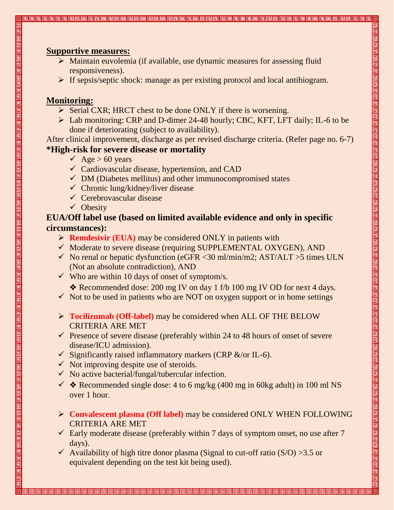#### **Supportive measures:**

- $\triangleright$  Maintain euvolemia (if available, use dynamic measures for assessing fluid responsiveness).
- $\triangleright$  If sepsis/septic shock: manage as per existing protocol and local antibiogram.

#### **Monitoring:**

- $\triangleright$  Serial CXR; HRCT chest to be done ONLY if there is worsening.
- Lab monitoring: CRP and D-dimer 24-48 hourly; CBC, KFT, LFT daily; IL-6 to be done if deteriorating (subject to availability).

After clinical improvement, discharge as per revised discharge criteria. (Refer page no. 6-7)

## **\*High-risk for severe disease or mortality**

- $\sqrt{A}$ ge > 60 years
- $\checkmark$  Cardiovascular disease, hypertension, and CAD
- $\checkmark$  DM (Diabetes mellitus) and other immunocompromised states
- $\checkmark$  Chronic lung/kidney/liver disease
- $\checkmark$  Cerebrovascular disease
- $\checkmark$  Obesity

#### **EUA/Off label use (based on limited available evidence and only in specific circumstances):**

- **Remdesivir (EUA)** may be considered ONLY in patients with
- $\checkmark$  Moderate to severe disease (requiring SUPPLEMENTAL OXYGEN), AND
- $\checkmark$  No renal or hepatic dysfunction (eGFR <30 ml/min/m2; AST/ALT >5 times ULN (Not an absolute contradiction), AND
- $\checkmark$  Who are within 10 days of onset of symptom/s.

❖ Recommended dose: 200 mg IV on day 1 f/b 100 mg IV OD for next 4 days.

- $\checkmark$  Not to be used in patients who are NOT on oxygen support or in home settings
- **Tocilizumab (Off-label)** may be considered when ALL OF THE BELOW CRITERIA ARE MET
- $\checkmark$  Presence of severe disease (preferably within 24 to 48 hours of onset of severe disease/ICU admission).
- $\checkmark$  Significantly raised inflammatory markers (CRP &/or IL-6).
- $\checkmark$  Not improving despite use of steroids.
- $\checkmark$  No active bacterial/fungal/tubercular infection.
- ❖ Recommended single dose: 4 to 6 mg/kg (400 mg in 60kg adult) in 100 ml NS over 1 hour.
- **Convalescent plasma (Off label)** may be considered ONLY WHEN FOLLOWING CRITERIA ARE MET
- $\checkmark$  Early moderate disease (preferably within 7 days of symptom onset, no use after 7 days).

 $\checkmark$  Availability of high titre donor plasma (Signal to cut-off ratio (S/O) >3.5 or equivalent depending on the test kit being used).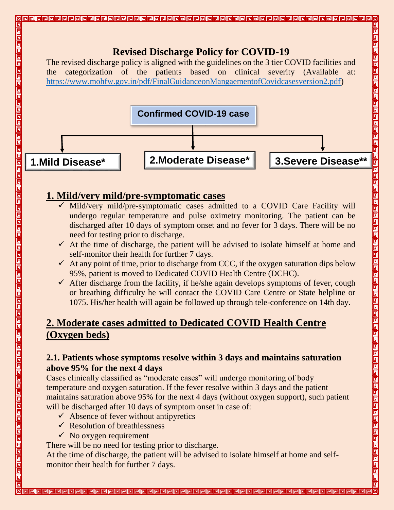## **Revised Discharge Policy for COVID-19**

The revised discharge policy is aligned with the guidelines on the 3 tier COVID facilities and the categorization of the patients based on clinical severity (Available at: [https://www.mohfw.gov.in/pdf/FinalGuidanceonMangaementofCovidcasesversion2.pdf\)](https://www.mohfw.gov.in/pdf/FinalGuidanceonMangaementofCovidcasesversion2.pdf)



### **1. Mild/very mild/pre-symptomatic cases**

- $\checkmark$  Mild/very mild/pre-symptomatic cases admitted to a COVID Care Facility will undergo regular temperature and pulse oximetry monitoring. The patient can be discharged after 10 days of symptom onset and no fever for 3 days. There will be no need for testing prior to discharge.
- $\checkmark$  At the time of discharge, the patient will be advised to isolate himself at home and self-monitor their health for further 7 days.
- $\checkmark$  At any point of time, prior to discharge from CCC, if the oxygen saturation dips below 95%, patient is moved to Dedicated COVID Health Centre (DCHC).
- $\checkmark$  After discharge from the facility, if he/she again develops symptoms of fever, cough or breathing difficulty he will contact the COVID Care Centre or State helpline or 1075. His/her health will again be followed up through tele-conference on 14th day.

# **2. Moderate cases admitted to Dedicated COVID Health Centre (Oxygen beds)**

#### **2.1. Patients whose symptoms resolve within 3 days and maintains saturation above 95% for the next 4 days**

Cases clinically classified as "moderate cases" will undergo monitoring of body temperature and oxygen saturation. If the fever resolve within 3 days and the patient maintains saturation above 95% for the next 4 days (without oxygen support), such patient will be discharged after 10 days of symptom onset in case of:

- $\checkmark$  Absence of fever without antipyretics
- $\checkmark$  Resolution of breathlessness
- $\checkmark$  No oxygen requirement

There will be no need for testing prior to discharge.

At the time of discharge, the patient will be advised to isolate himself at home and selfmonitor their health for further 7 days.